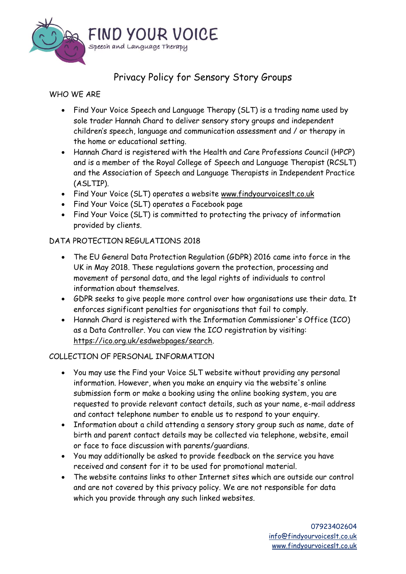

# Privacy Policy for Sensory Story Groups

# WHO WE ARE

- Find Your Voice Speech and Language Therapy (SLT) is a trading name used by sole trader Hannah Chard to deliver sensory story groups and independent children's speech, language and communication assessment and / or therapy in the home or educational setting.
- Hannah Chard is registered with the Health and Care Professions Council (HPCP) and is a member of the Royal College of Speech and Language Therapist (RCSLT) and the Association of Speech and Language Therapists in Independent Practice (ASLTIP).
- Find Your Voice (SLT) operates a website [www.findyourvoiceslt.co.uk](http://www.findyourvoiceslt.co.uk/)
- Find Your Voice (SLT) operates a Facebook page
- Find Your Voice (SLT) is committed to protecting the privacy of information provided by clients.

## DATA PROTECTION REGULATIONS 2018

- The EU General Data Protection Regulation (GDPR) 2016 came into force in the UK in May 2018. These regulations govern the protection, processing and movement of personal data, and the legal rights of individuals to control information about themselves.
- GDPR seeks to give people more control over how organisations use their data. It enforces significant penalties for organisations that fail to comply.
- Hannah Chard is registered with the Information Commissioner's Office (ICO) as a Data Controller. You can view the ICO registration by visiting: [https://ico.org.uk/esdwebpages/search.](https://ico.org.uk/esdwebpages/search)

# COLLECTION OF PERSONAL INFORMATION

- You may use the Find your Voice SLT website without providing any personal information. However, when you make an enquiry via the website's online submission form or make a booking using the online booking system, you are requested to provide relevant contact details, such as your name, e-mail address and contact telephone number to enable us to respond to your enquiry.
- Information about a child attending a sensory story group such as name, date of birth and parent contact details may be collected via telephone, website, email or face to face discussion with parents/guardians.
- You may additionally be asked to provide feedback on the service you have received and consent for it to be used for promotional material.
- The website contains links to other Internet sites which are outside our control and are not covered by this privacy policy. We are not responsible for data which you provide through any such linked websites.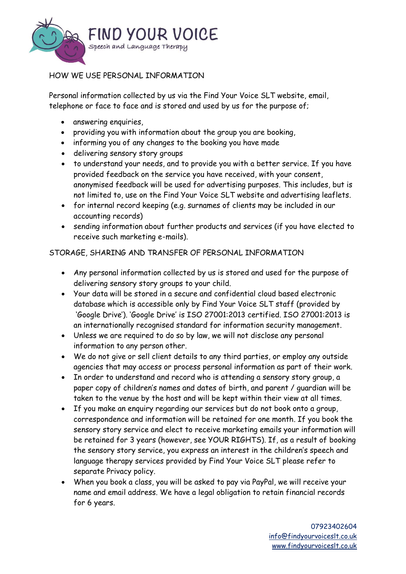

## HOW WE USE PERSONAL INFORMATION

Personal information collected by us via the Find Your Voice SLT website, email, telephone or face to face and is stored and used by us for the purpose of;

- answering enquiries,
- providing you with information about the group you are booking,
- informing you of any changes to the booking you have made
- delivering sensory story groups
- to understand your needs, and to provide you with a better service. If you have provided feedback on the service you have received, with your consent, anonymised feedback will be used for advertising purposes. This includes, but is not limited to, use on the Find Your Voice SLT website and advertising leaflets.
- for internal record keeping (e.g. surnames of clients may be included in our accounting records)
- sending information about further products and services (if you have elected to receive such marketing e-mails).

## STORAGE, SHARING AND TRANSFER OF PERSONAL INFORMATION

- Any personal information collected by us is stored and used for the purpose of delivering sensory story groups to your child.
- Your data will be stored in a secure and confidential cloud based electronic database which is accessible only by Find Your Voice SLT staff (provided by 'Google Drive'). 'Google Drive' is ISO 27001:2013 certified. ISO 27001:2013 is an internationally recognised standard for information security management.
- Unless we are required to do so by law, we will not disclose any personal information to any person other.
- We do not give or sell client details to any third parties, or employ any outside agencies that may access or process personal information as part of their work.
- In order to understand and record who is attending a sensory story group, a paper copy of children's names and dates of birth, and parent / guardian will be taken to the venue by the host and will be kept within their view at all times.
- If you make an enquiry regarding our services but do not book onto a group, correspondence and information will be retained for one month. If you book the sensory story service and elect to receive marketing emails your information will be retained for 3 years (however, see YOUR RIGHTS). If, as a result of booking the sensory story service, you express an interest in the children's speech and language therapy services provided by Find Your Voice SLT please refer to separate Privacy policy.
- When you book a class, you will be asked to pay via PayPal, we will receive your name and email address. We have a legal obligation to retain financial records for 6 years.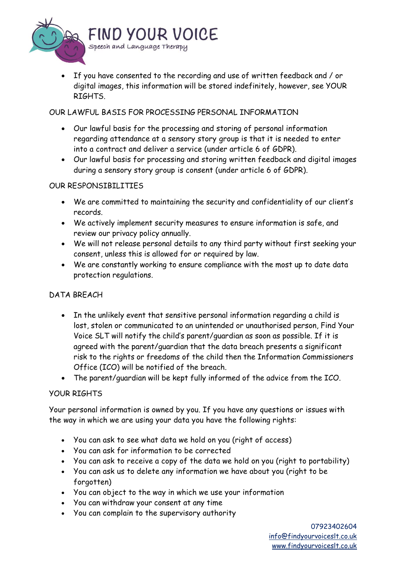

• If you have consented to the recording and use of written feedback and / or digital images, this information will be stored indefinitely, however, see YOUR RIGHTS.

## OUR LAWFUL BASIS FOR PROCESSING PERSONAL INFORMATION

- Our lawful basis for the processing and storing of personal information regarding attendance at a sensory story group is that it is needed to enter into a contract and deliver a service (under article 6 of GDPR).
- Our lawful basis for processing and storing written feedback and digital images during a sensory story group is consent (under article 6 of GDPR).

## OUR RESPONSIBILITIES

- We are committed to maintaining the security and confidentiality of our client's records.
- We actively implement security measures to ensure information is safe, and review our privacy policy annually.
- We will not release personal details to any third party without first seeking your consent, unless this is allowed for or required by law.
- We are constantly working to ensure compliance with the most up to date data protection regulations.

# DATA BREACH

- In the unlikely event that sensitive personal information regarding a child is lost, stolen or communicated to an unintended or unauthorised person, Find Your Voice SLT will notify the child's parent/guardian as soon as possible. If it is agreed with the parent/guardian that the data breach presents a significant risk to the rights or freedoms of the child then the Information Commissioners Office (ICO) will be notified of the breach.
- The parent/guardian will be kept fully informed of the advice from the ICO.

## YOUR RIGHTS

Your personal information is owned by you. If you have any questions or issues with the way in which we are using your data you have the following rights:

- You can ask to see what data we hold on you (right of access)
- You can ask for information to be corrected
- You can ask to receive a copy of the data we hold on you (right to portability)
- You can ask us to delete any information we have about you (right to be forgotten)
- You can object to the way in which we use your information
- You can withdraw your consent at any time
- You can complain to the supervisory authority